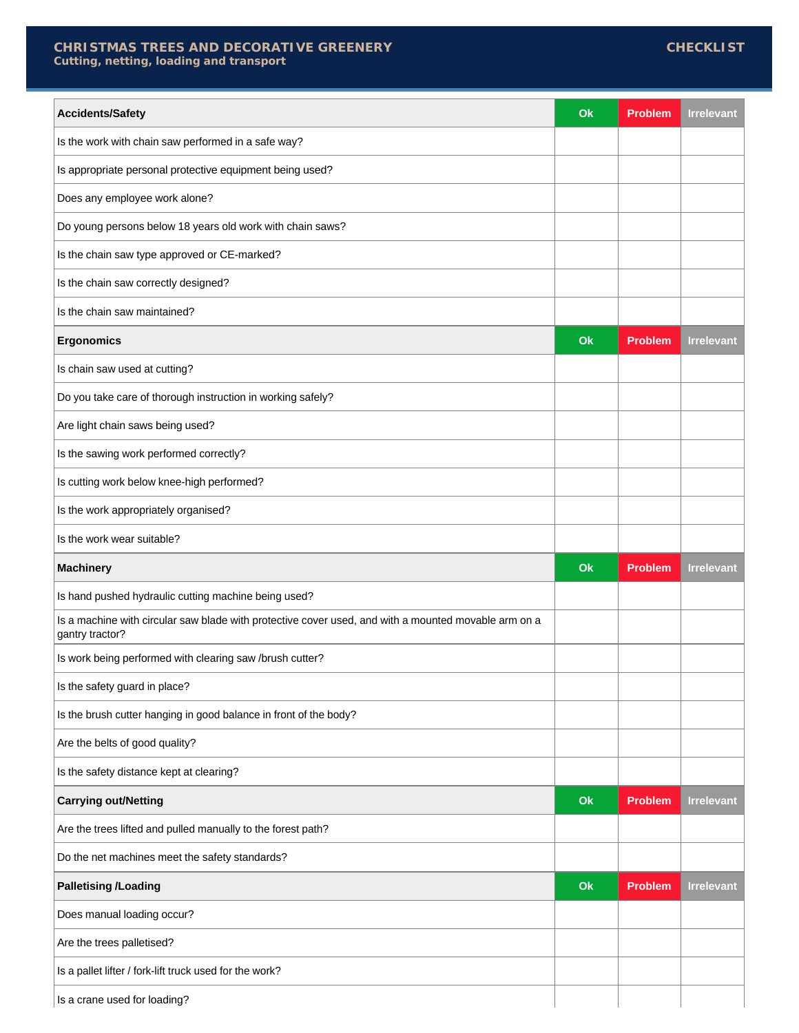## **CHRISTMAS TREES AND DECORATIVE GREENERY Cutting, netting, loading and transport**

| <b>Accidents/Safety</b>                                                                                                 | Ok | <b>Problem</b> | <b>Irrelevant</b> |
|-------------------------------------------------------------------------------------------------------------------------|----|----------------|-------------------|
| Is the work with chain saw performed in a safe way?                                                                     |    |                |                   |
| Is appropriate personal protective equipment being used?                                                                |    |                |                   |
| Does any employee work alone?                                                                                           |    |                |                   |
| Do young persons below 18 years old work with chain saws?                                                               |    |                |                   |
| Is the chain saw type approved or CE-marked?                                                                            |    |                |                   |
| Is the chain saw correctly designed?                                                                                    |    |                |                   |
| Is the chain saw maintained?                                                                                            |    |                |                   |
| <b>Ergonomics</b>                                                                                                       | Ok | <b>Problem</b> | <b>Irrelevant</b> |
| Is chain saw used at cutting?                                                                                           |    |                |                   |
| Do you take care of thorough instruction in working safely?                                                             |    |                |                   |
| Are light chain saws being used?                                                                                        |    |                |                   |
| Is the sawing work performed correctly?                                                                                 |    |                |                   |
| Is cutting work below knee-high performed?                                                                              |    |                |                   |
| Is the work appropriately organised?                                                                                    |    |                |                   |
| Is the work wear suitable?                                                                                              |    |                |                   |
| <b>Machinery</b>                                                                                                        | Ok | <b>Problem</b> | <b>Irrelevant</b> |
| Is hand pushed hydraulic cutting machine being used?                                                                    |    |                |                   |
| Is a machine with circular saw blade with protective cover used, and with a mounted movable arm on a<br>gantry tractor? |    |                |                   |
| Is work being performed with clearing saw /brush cutter?                                                                |    |                |                   |
|                                                                                                                         |    |                |                   |
| Is the safety guard in place?                                                                                           |    |                |                   |
| Is the brush cutter hanging in good balance in front of the body?                                                       |    |                |                   |
| Are the belts of good quality?                                                                                          |    |                |                   |
|                                                                                                                         |    |                |                   |
| Is the safety distance kept at clearing?<br><b>Carrying out/Netting</b>                                                 | Ok | <b>Problem</b> | <b>Irrelevant</b> |
| Are the trees lifted and pulled manually to the forest path?                                                            |    |                |                   |
| Do the net machines meet the safety standards?                                                                          |    |                |                   |
| <b>Palletising /Loading</b>                                                                                             | Ok | <b>Problem</b> | <b>Irrelevant</b> |
| Does manual loading occur?                                                                                              |    |                |                   |
| Are the trees palletised?                                                                                               |    |                |                   |
| Is a pallet lifter / fork-lift truck used for the work?                                                                 |    |                |                   |